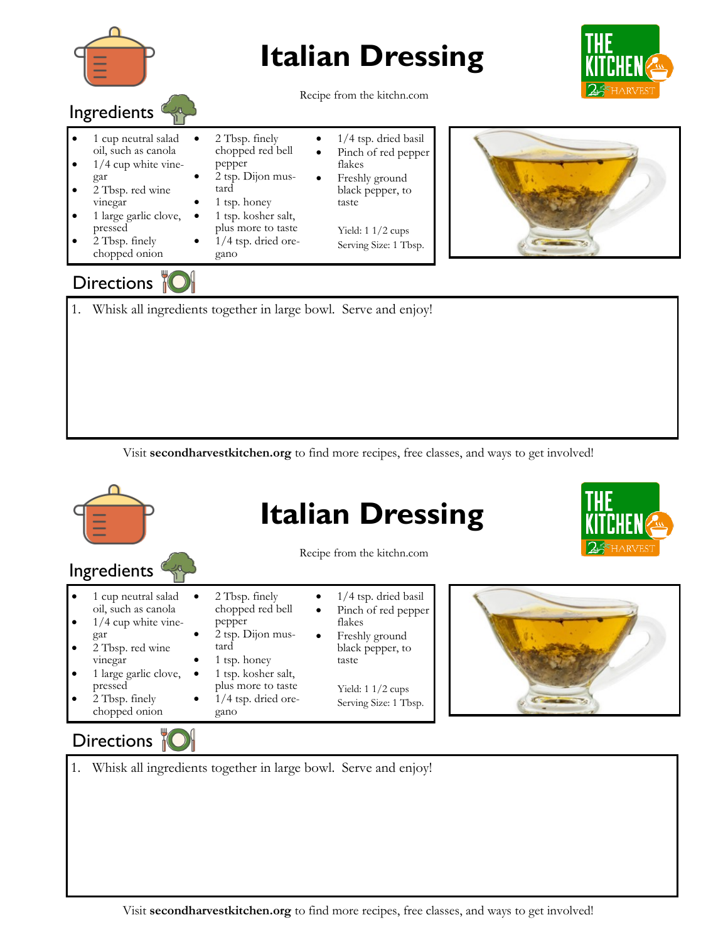

## **Italian Dressing**



Recipe from the kitchn.com

- Ingredients • 1 cup neutral salad oil, such as canola  $1/4$  cup white vinegar • 2 Tbsp. finely chopped red bell
- 2 Tbsp. red wine vinegar
- 1 large garlic clove, pressed
- 2 Tbsp. finely chopped onion

## pepper • 2 tsp. Dijon mustard

- 1 tsp. honey
- 1 tsp. kosher salt,
- plus more to taste  $1/4$  tsp. dried ore-
- gano
- 1/4 tsp. dried basil Pinch of red pepper
- flakes Freshly ground black pepper, to

taste

Yield: 1 1/2 cups Serving Size: 1 Tbsp.



## Directions |

1. Whisk all ingredients together in large bowl. Serve and enjoy!

Visit **secondharvestkitchen.org** to find more recipes, free classes, and ways to get involved!



## Directions 1

1. Whisk all ingredients together in large bowl. Serve and enjoy!